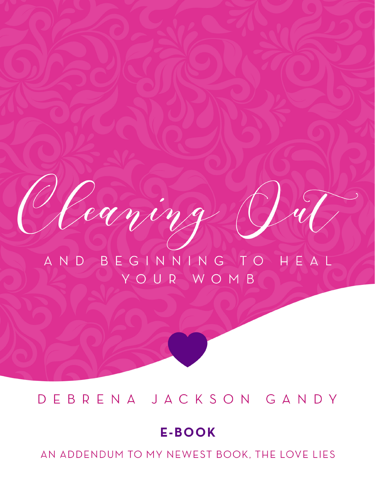AND BEGINNING TO HEAL YOUR WOMB

caving

## DEBRENA JACKSON GANDY

## **E-BOOK**

AN ADDENDUM TO MY NEWEST BOOK, THE LOVE LIES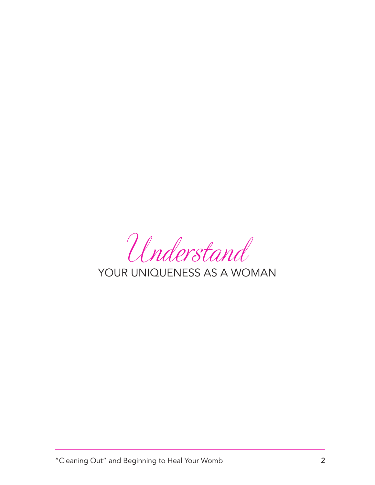Understand

YOUR UNIQUENESS AS A WOMAN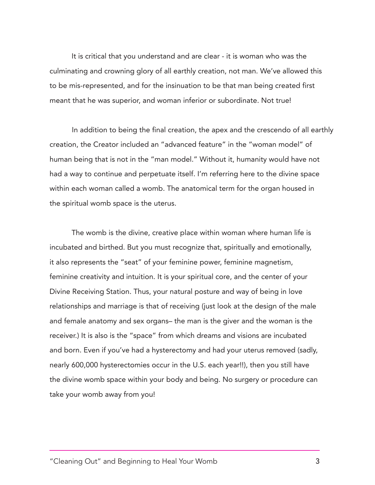It is critical that you understand and are clear - it is woman who was the culminating and crowning glory of all earthly creation, not man. We've allowed this to be mis-represented, and for the insinuation to be that man being created first meant that he was superior, and woman inferior or subordinate. Not true!

creation, the Creator included an "advanced feature" in the "woman model" of human being that is not in the "man model." Without it, humanity would have not had a way to continue and perpetuate itself. I'm referring here to the divine space within each woman called a womb. The anatomical term for the organ housed in the spiritual womb space is the uterus. In addition to being the final creation, the apex and the crescendo of all earthly

The womb is the divine, creative place within woman where human life is incubated and birthed. But you must recognize that, spiritually and emotionally, it also represents the "seat" of your feminine power, feminine magnetism, feminine creativity and intuition. It is your spiritual core, and the center of your Divine Receiving Station. Thus, your natural posture and way of being in love relationships and marriage is that of receiving (just look at the design of the male and female anatomy and sex organs– the man is the giver and the woman is the receiver.) It is also is the "space" from which dreams and visions are incubated and born. Even if you've had a hysterectomy and had your uterus removed (sadly, nearly 600,000 hysterectomies occur in the U.S. each year!!), then you still have the divine womb space within your body and being. No surgery or procedure can take your womb away from you!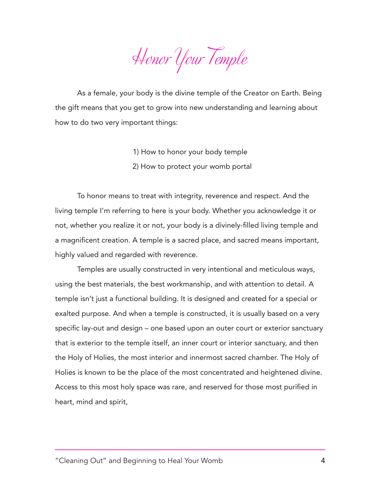Honor Your Temple

As a female, your body is the divine temple of the Creator on Earth. Being the gift means that you get to grow into new understanding and learning about how to do two very important things:

- 1) How to honor your body temple
- 2) How to protect your womb portal

To honor means to treat with integrity, reverence and respect. And the living temple I'm referring to here is your body. Whether you acknowledge it or not, whether you realize it or not, your body is a divinely-filled living temple and a magnificent creation. A temple is a sacred place, and sacred means important, highly valued and regarded with reverence.

Temples are usually constructed in very intentional and meticulous ways, using the best materials, the best workmanship, and with attention to detail. A temple isn't just a functional building. It is designed and created for a special or exalted purpose. And when a temple is constructed, it is usually based on a very specific lay-out and design – one based upon an outer court or exterior sanctuary that is exterior to the temple itself, an inner court or interior sanctuary, and then the Holy of Holies, the most interior and innermost sacred chamber. The Holy of Holies is known to be the place of the most concentrated and heightened divine. Access to this most holy space was rare, and reserved for those most purified in heart, mind and spirit,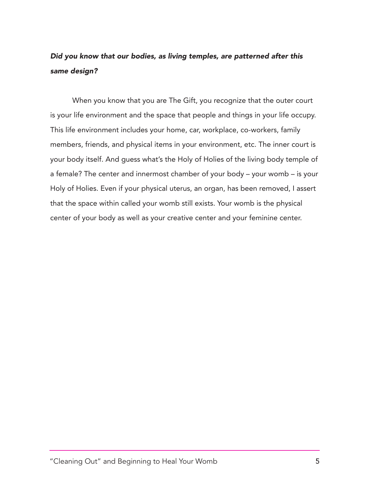## *Did you know that our bodies, as living temples, are patterned after this same design?*

When you know that you are The Gift, you recognize that the outer court is your life environment and the space that people and things in your life occupy. This life environment includes your home, car, workplace, co-workers, family members, friends, and physical items in your environment, etc. The inner court is your body itself. And guess what's the Holy of Holies of the living body temple of a female? The center and innermost chamber of your body – your womb – is your Holy of Holies. Even if your physical uterus, an organ, has been removed, I assert that the space within called your womb still exists. Your womb is the physical center of your body as well as your creative center and your feminine center.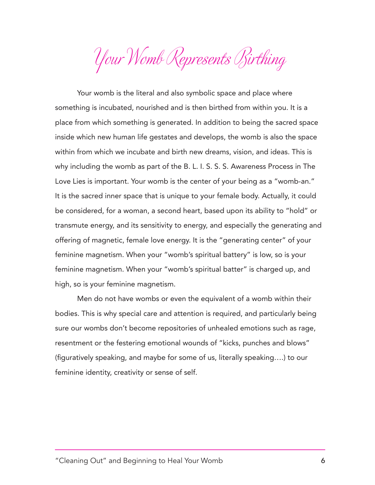Your Womb Represents Birthing

Your womb is the literal and also symbolic space and place where something is incubated, nourished and is then birthed from within you. It is a place from which something is generated. In addition to being the sacred space inside which new human life gestates and develops, the womb is also the space within from which we incubate and birth new dreams, vision, and ideas. This is why including the womb as part of the B. L. I. S. S. S. Awareness Process in The Love Lies is important. Your womb is the center of your being as a "womb-an." It is the sacred inner space that is unique to your female body. Actually, it could be considered, for a woman, a second heart, based upon its ability to "hold" or transmute energy, and its sensitivity to energy, and especially the generating and offering of magnetic, female love energy. It is the "generating center" of your feminine magnetism. When your "womb's spiritual battery" is low, so is your feminine magnetism. When your "womb's spiritual batter" is charged up, and high, so is your feminine magnetism.

Men do not have wombs or even the equivalent of a womb within their bodies. This is why special care and attention is required, and particularly being sure our wombs don't become repositories of unhealed emotions such as rage, resentment or the festering emotional wounds of "kicks, punches and blows" (figuratively speaking, and maybe for some of us, literally speaking….) to our feminine identity, creativity or sense of self.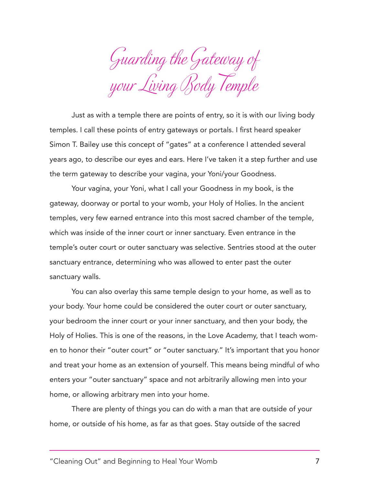Guarding the Gateway of your Living Body Temple

Just as with a temple there are points of entry, so it is with our living body temples. I call these points of entry gateways or portals. I first heard speaker Simon T. Bailey use this concept of "gates" at a conference I attended several years ago, to describe our eyes and ears. Here I've taken it a step further and use the term gateway to describe your vagina, your Yoni/your Goodness.

Your vagina, your Yoni, what I call your Goodness in my book, is the gateway, doorway or portal to your womb, your Holy of Holies. In the ancient temples, very few earned entrance into this most sacred chamber of the temple, which was inside of the inner court or inner sanctuary. Even entrance in the temple's outer court or outer sanctuary was selective. Sentries stood at the outer sanctuary entrance, determining who was allowed to enter past the outer sanctuary walls.

You can also overlay this same temple design to your home, as well as to your body. Your home could be considered the outer court or outer sanctuary, your bedroom the inner court or your inner sanctuary, and then your body, the Holy of Holies. This is one of the reasons, in the Love Academy, that I teach women to honor their "outer court" or "outer sanctuary." It's important that you honor and treat your home as an extension of yourself. This means being mindful of who enters your "outer sanctuary" space and not arbitrarily allowing men into your home, or allowing arbitrary men into your home.

There are plenty of things you can do with a man that are outside of your home, or outside of his home, as far as that goes. Stay outside of the sacred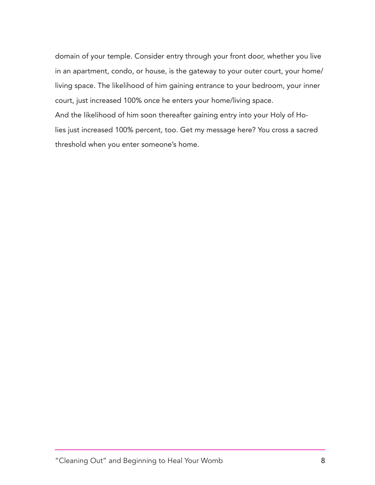domain of your temple. Consider entry through your front door, whether you live in an apartment, condo, or house, is the gateway to your outer court, your home/ living space. The likelihood of him gaining entrance to your bedroom, your inner court, just increased 100% once he enters your home/living space. And the likelihood of him soon thereafter gaining entry into your Holy of Holies just increased 100% percent, too. Get my message here? You cross a sacred threshold when you enter someone's home.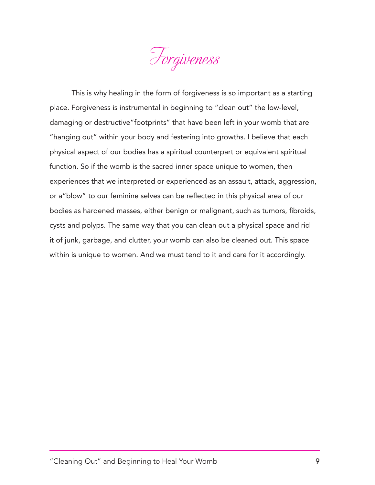

This is why healing in the form of forgiveness is so important as a starting place. Forgiveness is instrumental in beginning to "clean out" the low-level, damaging or destructive"footprints" that have been left in your womb that are "hanging out" within your body and festering into growths. I believe that each physical aspect of our bodies has a spiritual counterpart or equivalent spiritual function. So if the womb is the sacred inner space unique to women, then experiences that we interpreted or experienced as an assault, attack, aggression, or a"blow" to our feminine selves can be reflected in this physical area of our bodies as hardened masses, either benign or malignant, such as tumors, fibroids, cysts and polyps. The same way that you can clean out a physical space and rid it of junk, garbage, and clutter, your womb can also be cleaned out. This space within is unique to women. And we must tend to it and care for it accordingly.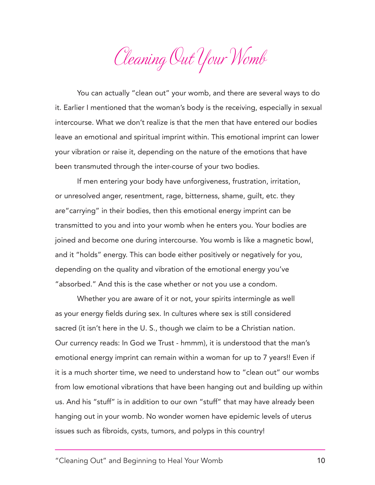Cleaning Out Your Womb

You can actually "clean out" your womb, and there are several ways to do it. Earlier I mentioned that the woman's body is the receiving, especially in sexual intercourse. What we don't realize is that the men that have entered our bodies leave an emotional and spiritual imprint within. This emotional imprint can lower your vibration or raise it, depending on the nature of the emotions that have been transmuted through the inter-course of your two bodies.

If men entering your body have unforgiveness, frustration, irritation, or unresolved anger, resentment, rage, bitterness, shame, guilt, etc. they are"carrying" in their bodies, then this emotional energy imprint can be transmitted to you and into your womb when he enters you. Your bodies are joined and become one during intercourse. You womb is like a magnetic bowl, and it "holds" energy. This can bode either positively or negatively for you, depending on the quality and vibration of the emotional energy you've "absorbed." And this is the case whether or not you use a condom.

Whether you are aware of it or not, your spirits intermingle as well as your energy fields during sex. In cultures where sex is still considered sacred (it isn't here in the U. S., though we claim to be a Christian nation. Our currency reads: In God we Trust - hmmm), it is understood that the man's emotional energy imprint can remain within a woman for up to 7 years!! Even if it is a much shorter time, we need to understand how to "clean out" our wombs from low emotional vibrations that have been hanging out and building up within us. And his "stuff" is in addition to our own "stuff" that may have already been hanging out in your womb. No wonder women have epidemic levels of uterus issues such as fibroids, cysts, tumors, and polyps in this country!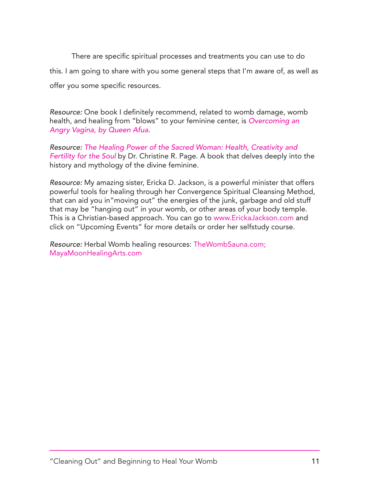There are specific spiritual processes and treatments you can use to do this. I am going to share with you some general steps that I'm aware of, as well as offer you some specific resources.

*Resource:* One book I definitely recommend, related to womb damage, womb health, and healing from "blows" to your feminine center, is *Overcoming an Angry Vagina, by Queen Afua.*

*Resource: The Healing Power of the Sacred Woman: Health, Creativity and Fertility for the Soul* by Dr. Christine R. Page. A book that delves deeply into the history and mythology of the divine feminine.

*Resource:* My amazing sister, Ericka D. Jackson, is a powerful minister that offers powerful tools for healing through her Convergence Spiritual Cleansing Method, that can aid you in"moving out" the energies of the junk, garbage and old stuff that may be "hanging out" in your womb, or other areas of your body temple. This is a Christian-based approach. You can go to www.ErickaJackson.com and click on "Upcoming Events" for more details or order her selfstudy course.

*Resource:* Herbal Womb healing resources: TheWombSauna.com; MayaMoonHealingArts.com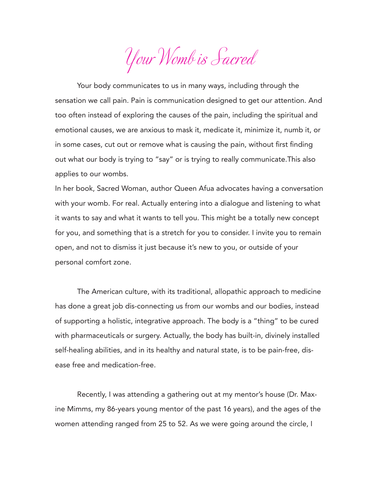Your Womb is Sacred

Your body communicates to us in many ways, including through the sensation we call pain. Pain is communication designed to get our attention. And too often instead of exploring the causes of the pain, including the spiritual and emotional causes, we are anxious to mask it, medicate it, minimize it, numb it, or in some cases, cut out or remove what is causing the pain, without first finding out what our body is trying to "say" or is trying to really communicate.This also applies to our wombs.

In her book, Sacred Woman, author Queen Afua advocates having a conversation with your womb. For real. Actually entering into a dialogue and listening to what it wants to say and what it wants to tell you. This might be a totally new concept for you, and something that is a stretch for you to consider. I invite you to remain open, and not to dismiss it just because it's new to you, or outside of your personal comfort zone.

The American culture, with its traditional, allopathic approach to medicine has done a great job dis-connecting us from our wombs and our bodies, instead of supporting a holistic, integrative approach. The body is a "thing" to be cured with pharmaceuticals or surgery. Actually, the body has built-in, divinely installed self-healing abilities, and in its healthy and natural state, is to be pain-free, disease free and medication-free.

Recently, I was attending a gathering out at my mentor's house (Dr. Maxine Mimms, my 86-years young mentor of the past 16 years), and the ages of the women attending ranged from 25 to 52. As we were going around the circle, I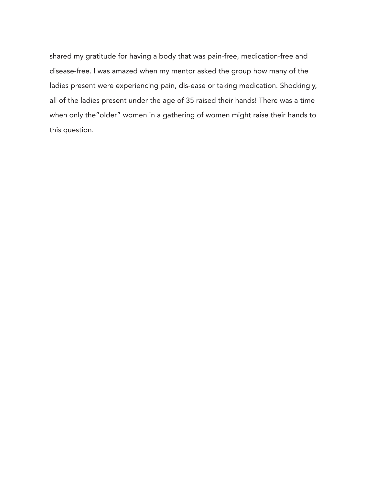shared my gratitude for having a body that was pain-free, medication-free and disease-free. I was amazed when my mentor asked the group how many of the ladies present were experiencing pain, dis-ease or taking medication. Shockingly, all of the ladies present under the age of 35 raised their hands! There was a time when only the"older" women in a gathering of women might raise their hands to this question.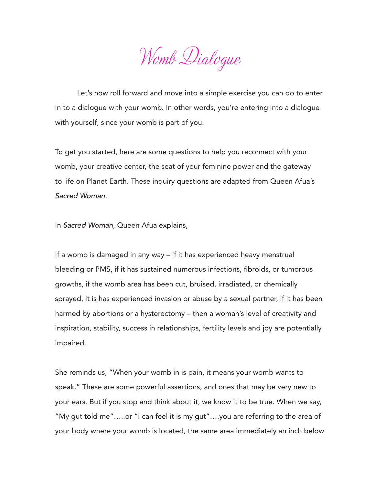Womb Dialogue

Let's now roll forward and move into a simple exercise you can do to enter in to a dialogue with your womb. In other words, you're entering into a dialogue with yourself, since your womb is part of you.

To get you started, here are some questions to help you reconnect with your womb, your creative center, the seat of your feminine power and the gateway to life on Planet Earth. These inquiry questions are adapted from Queen Afua's *Sacred Woman.* 

In *Sacred Woman*, Queen Afua explains,

If a womb is damaged in any way – if it has experienced heavy menstrual bleeding or PMS, if it has sustained numerous infections, fibroids, or tumorous growths, if the womb area has been cut, bruised, irradiated, or chemically sprayed, it is has experienced invasion or abuse by a sexual partner, if it has been harmed by abortions or a hysterectomy – then a woman's level of creativity and inspiration, stability, success in relationships, fertility levels and joy are potentially impaired.

She reminds us, "When your womb in is pain, it means your womb wants to speak." These are some powerful assertions, and ones that may be very new to your ears. But if you stop and think about it, we know it to be true. When we say, "My gut told me"…..or "I can feel it is my gut"….you are referring to the area of your body where your womb is located, the same area immediately an inch below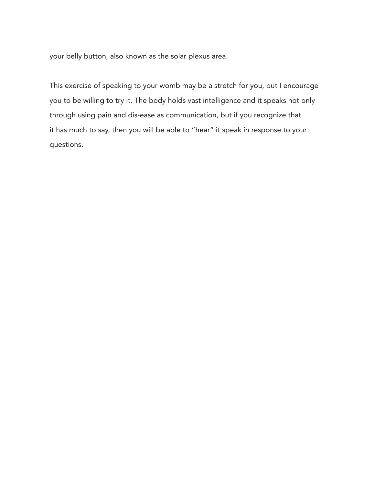your belly button, also known as the solar plexus area.

This exercise of speaking to your womb may be a stretch for you, but I encourage you to be willing to try it. The body holds vast intelligence and it speaks not only through using pain and dis-ease as communication, but if you recognize that it has much to say, then you will be able to "hear" it speak in response to your questions.